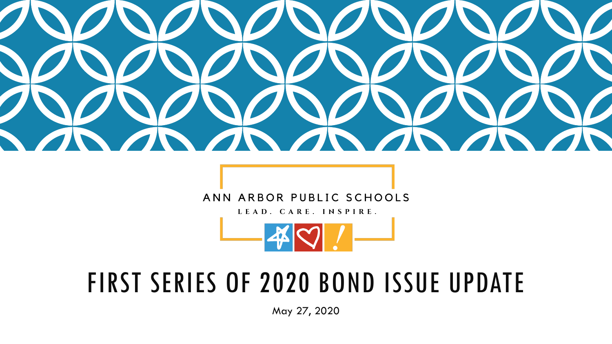

# ANN ARBOR PUBLIC SCHOOLS

LEAD. CARE. INSPIRE.



# FIRST SERIES OF 2020 BOND ISSUE UPDATE

May 27, 2020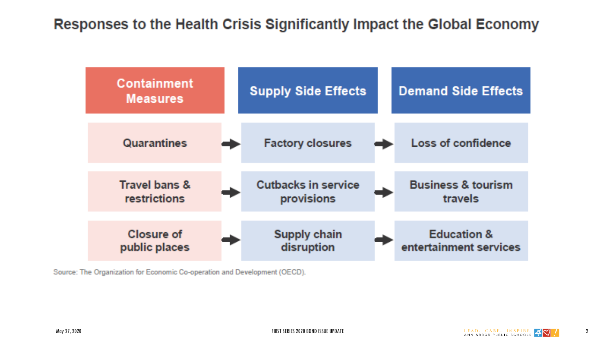# Responses to the Health Crisis Significantly Impact the Global Economy



Source: The Organization for Economic Co-operation and Development (OECD).

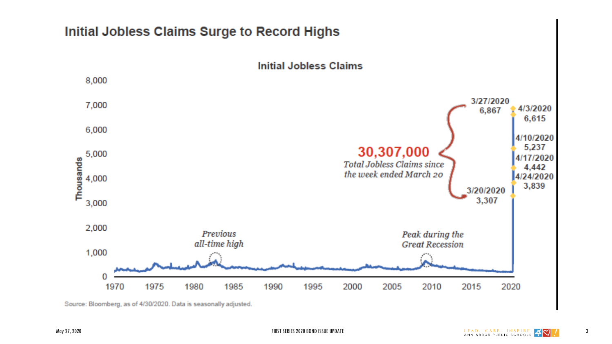

Source: Bloomberg, as of 4/30/2020. Data is seasonally adjusted.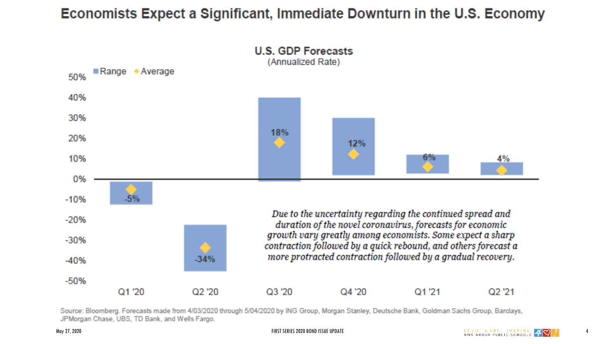# Economists Expect a Significant, Immediate Downturn in the U.S. Economy



Source: Bloomberg. Forecasts made from 4/03/2020 through 5/04/2020 by ING Group, Morgan Stanley, Deutsche Bank, Goldman Sachs Group, Barclays, JPMorgan Chase, UBS, TD Bank, and Wells Fargo.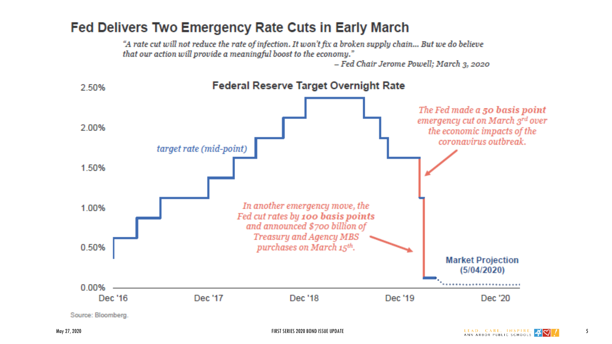# Fed Delivers Two Emergency Rate Cuts in Early March

"A rate cut will not reduce the rate of infection. It won't fix a broken supply chain... But we do believe that our action will provide a meaningful boost to the economy."

- Fed Chair Jerome Powell; March 3, 2020



Source: Bloomberg.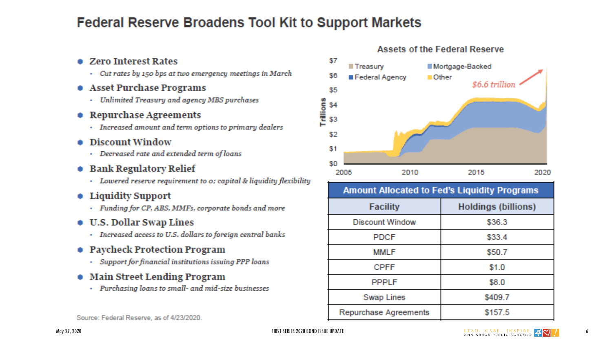# **Federal Reserve Broadens Tool Kit to Support Markets**

## • Zero Interest Rates

- Cut rates by 150 bps at two emergency meetings in March
- Asset Purchase Programs
	- Unlimited Treasury and agency MBS purchases
- Repurchase Agreements
	- Increased amount and term options to primary dealers
- Discount Window
	- Decreased rate and extended term of loans
- **Bank Regulatory Relief** 
	- Lowered reserve requirement to o; capital & liquidity flexibility
- Liquidity Support
	- Funding for CP, ABS, MMFs, corporate bonds and more
- **U.S. Dollar Swap Lines** 
	- Increased access to U.S. dollars to foreign central banks
- Paycheck Protection Program
	- Support for financial institutions issuing PPP loans
- Main Street Lending Program
	- Purchasing loans to small- and mid-size businesses



| <b>Amount Allocated to Fed's Liquidity Programs</b> |                               |  |  |  |  |  |  |
|-----------------------------------------------------|-------------------------------|--|--|--|--|--|--|
| <b>Facility</b>                                     | Holdings (billions)<br>\$36.3 |  |  |  |  |  |  |
| <b>Discount Window</b>                              |                               |  |  |  |  |  |  |
| <b>PDCF</b>                                         | \$33.4                        |  |  |  |  |  |  |
| <b>MMLF</b>                                         | \$50.7                        |  |  |  |  |  |  |
| <b>CPFF</b>                                         | \$1.0                         |  |  |  |  |  |  |
|                                                     |                               |  |  |  |  |  |  |

**Swap Lines** 

**Repurchase Agreements** 

## **Assets of the Federal Reserve**

Source: Federal Reserve, as of 4/23/2020.

\$409.7

\$157.5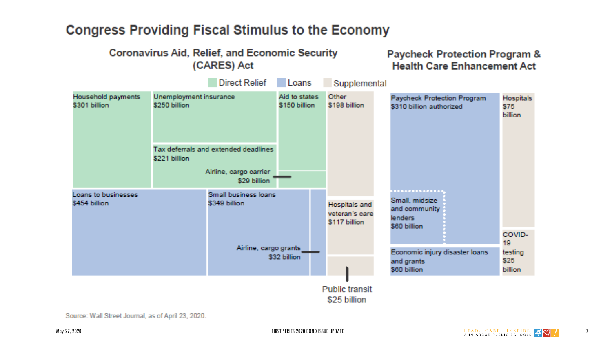# **Congress Providing Fiscal Stimulus to the Economy**



Source: Wall Street Journal, as of April 23, 2020.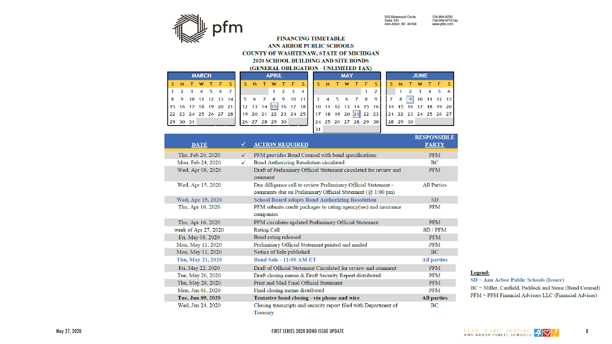

734-994-9700<br>734-994-9710 fax<br>www.pfm.com 555 Briarwood Circle<br>Suite 333<br>Ann Arbor, MI 48108

#### **FINANCING TIMETABLE** ANN ARBOR PUBLIC SCHOOLS COUNTY OF WASHTENAW, STATE OF MICHIGAN 2020 SCHOOL BUILDING AND SITE BONDS

(GENERAL OBLIGATION - UNLIMITED TAX)

| <b>MARCH</b> |  |  |  |  |  | <b>APRIL</b>                |  |  |  |                |  |                   | <b>MAY</b> |  |  |  |  |  |  | <b>JUNE</b>                                                                               |  |  |                   |  |  |  |  |
|--------------|--|--|--|--|--|-----------------------------|--|--|--|----------------|--|-------------------|------------|--|--|--|--|--|--|-------------------------------------------------------------------------------------------|--|--|-------------------|--|--|--|--|
|              |  |  |  |  |  |                             |  |  |  |                |  |                   |            |  |  |  |  |  |  | MTWTFS  SMTWTFS  SMTWTFS  SMTWTFS                                                         |  |  |                   |  |  |  |  |
|              |  |  |  |  |  | $1 \t2 \t3 \t4 \t5 \t6 \t7$ |  |  |  |                |  | $1\quad 2\quad 3$ | 4 I        |  |  |  |  |  |  | $1\quad 2\quad 1$                                                                         |  |  | 1 2 3 4 5 6       |  |  |  |  |
|              |  |  |  |  |  |                             |  |  |  |                |  |                   |            |  |  |  |  |  |  | 8 9 10 11 12 13 14   5 6 7 8 9 10 11   3 4 5 6 7 8 9                                      |  |  | 7 8 9 10 11 12 13 |  |  |  |  |
|              |  |  |  |  |  |                             |  |  |  |                |  |                   |            |  |  |  |  |  |  | 15 16 17 18 19 20 21 12 13 14 15 16 17 18 10 11 12 13 14 15 16 16 17 18 19 20             |  |  |                   |  |  |  |  |
|              |  |  |  |  |  |                             |  |  |  |                |  |                   |            |  |  |  |  |  |  | 22 23 24 25 26 27 28   19 20 21 22 23 24 25   17 18 19 20 21 22 23   21 22 23 24 25 26 27 |  |  |                   |  |  |  |  |
| 29 30 31     |  |  |  |  |  |                             |  |  |  | 26 27 28 29 30 |  |                   |            |  |  |  |  |  |  | 24 25 26 27 28 29 30                                                                      |  |  | 28 29 30          |  |  |  |  |
|              |  |  |  |  |  |                             |  |  |  |                |  |                   |            |  |  |  |  |  |  |                                                                                           |  |  |                   |  |  |  |  |

|                      |              |                                                                                                                              | <b>RESPONSIBLE</b> |
|----------------------|--------------|------------------------------------------------------------------------------------------------------------------------------|--------------------|
| <b>DATE</b>          | ✔            | <b>ACTION REQUIRED</b>                                                                                                       | <b>PARTY</b>       |
| Thu, Feb 20, 2020    | $\checkmark$ | PFM provides Bond Counsel with bond specifications                                                                           | <b>PFM</b>         |
| Mon, Feb 24, 2020    | ✓            | Bond Authorizing Resolution circulated                                                                                       | BC                 |
| Wed, Apr 08, 2020    |              | Draft of Preliminary Official Statement circulated for review and<br>comment                                                 | <b>PFM</b>         |
| Wed, Apr 15, 2020    |              | Due dilligence call to review Preliminary Official Statement -<br>comments due on Preliminary Official Statement (@ 1:00 pm) | <b>All Parties</b> |
| Wed, Apr 15, 2020    |              | <b>School Board adopts Bond Authorizing Resolution</b>                                                                       | <b>SD</b>          |
| Thu, Apr 16, 2020    |              | PFM submits credit packages to rating agency(ies) and insurance<br>companies                                                 | <b>PFM</b>         |
| Thu, Apr 16, 2020    |              | PFM circulates updated Preliminary Official Statement                                                                        | <b>PFM</b>         |
| week of Apr 27, 2020 |              | <b>Rating Call</b>                                                                                                           | SD/PFM             |
| Fri, May 08, 2020    |              | Bond rating released                                                                                                         | <b>PFM</b>         |
| Mon, May 11, 2020    |              | Preliminary Official Statement printed and mailed                                                                            | PFM                |
| Mon, May 11, 2020    |              | Notice of Sale published                                                                                                     | <b>BC</b>          |
| Thu, May 21, 2020    |              | <b>Bond Sale - 11:00 AM ET</b>                                                                                               | <b>All parties</b> |
| Fri, May 22, 2020    |              | Draft of Official Statement Circulated for review and comment                                                                | <b>PFM</b>         |
| Tue, May 26, 2020    |              | Draft closing memo & Draft Security Report distributed                                                                       | <b>PFM</b>         |
| Thu, May 28, 2020    |              | Print and Mail Final Official Statement                                                                                      | <b>PFM</b>         |
| Mon, Jun 01, 2020    |              | Final closing memo distributed                                                                                               | <b>PFM</b>         |
| Tue, Jun 09, 2020    |              | Tentative bond closing - via phone and wire                                                                                  | <b>All parties</b> |
| Wed, Jun 24, 2020    |              | Closing transcripts and security report filed with Department of<br>Treasury                                                 | BC                 |

#### Legend:

 $SD = Ann$  Arbor Public Schools (Issuer) BC = Miller, Canfield, Paddock and Stone (Bond Counsel) PFM = PFM Financial Advisors LLC (Financial Advisor)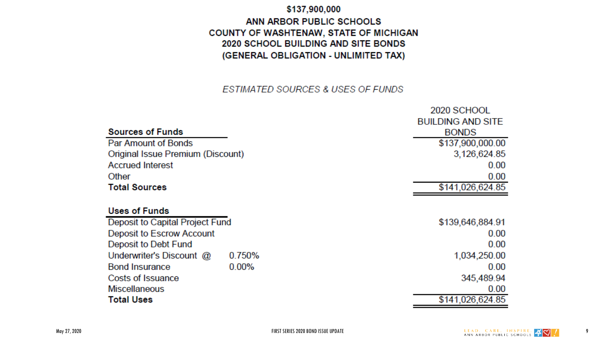### \$137,900,000

ANN ARBOR PUBLIC SCHOOLS COUNTY OF WASHTENAW, STATE OF MICHIGAN 2020 SCHOOL BUILDING AND SITE BONDS (GENERAL OBLIGATION - UNLIMITED TAX)

## ESTIMATED SOURCES & USES OF FUNDS

|                                   |          | 2020 SCHOOL              |
|-----------------------------------|----------|--------------------------|
|                                   |          | <b>BUILDING AND SITE</b> |
| <b>Sources of Funds</b>           |          | <b>BONDS</b>             |
| Par Amount of Bonds               |          | \$137,900,000.00         |
| Original Issue Premium (Discount) |          | 3,126,624.85             |
| <b>Accrued Interest</b>           |          | 0.00                     |
| Other                             |          | 0.00                     |
| <b>Total Sources</b>              |          | \$141,026,624.85         |
|                                   |          |                          |
| <b>Uses of Funds</b>              |          |                          |
| Deposit to Capital Project Fund   |          | \$139,646,884.91         |
| Deposit to Escrow Account         |          | 0.00                     |
| Deposit to Debt Fund              |          | 0.00                     |
| Underwriter's Discount @          | 0.750%   | 1,034,250.00             |
| <b>Bond Insurance</b>             | $0.00\%$ | 0.00                     |
| Costs of Issuance                 |          | 345,489.94               |
| <b>Miscellaneous</b>              |          | 0.00                     |
| <b>Total Uses</b>                 |          | \$141,026,624.85         |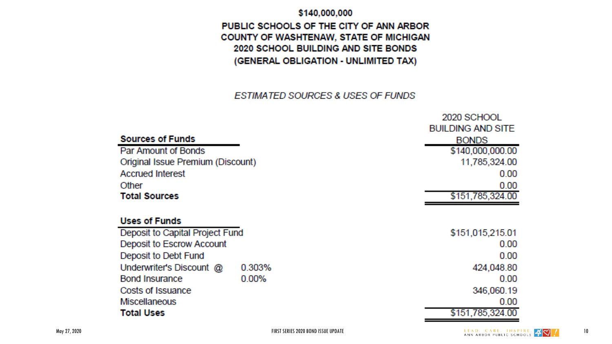### \$140,000,000

## PUBLIC SCHOOLS OF THE CITY OF ANN ARBOR COUNTY OF WASHTENAW, STATE OF MICHIGAN 2020 SCHOOL BUILDING AND SITE BONDS (GENERAL OBLIGATION - UNLIMITED TAX)

## **ESTIMATED SOURCES & USES OF FUNDS**

|                                   |          | zuzu əvi ivvii           |
|-----------------------------------|----------|--------------------------|
|                                   |          | <b>BUILDING AND SITE</b> |
| <b>Sources of Funds</b>           |          | <b>BONDS</b>             |
| Par Amount of Bonds               |          | \$140,000,000.00         |
| Original Issue Premium (Discount) |          | 11,785,324.00            |
| <b>Accrued Interest</b>           |          | 0.00                     |
| Other                             |          | 0.00                     |
| <b>Total Sources</b>              |          | \$151,785,324.00         |
|                                   |          |                          |
| <b>Uses of Funds</b>              |          |                          |
| Deposit to Capital Project Fund   |          | \$151,015,215.01         |
| Deposit to Escrow Account         |          | 0.00                     |
| Deposit to Debt Fund              |          | 0.00                     |
| Underwriter's Discount @          | 0.303%   | 424,048.80               |
| <b>Bond Insurance</b>             | $0.00\%$ | 0.00                     |
| Costs of Issuance                 |          | 346,060.19               |
| <b>Miscellaneous</b>              |          | 0.00                     |
| Total Uses                        |          | \$151,785,324.00         |

 $2020$  SCHOOL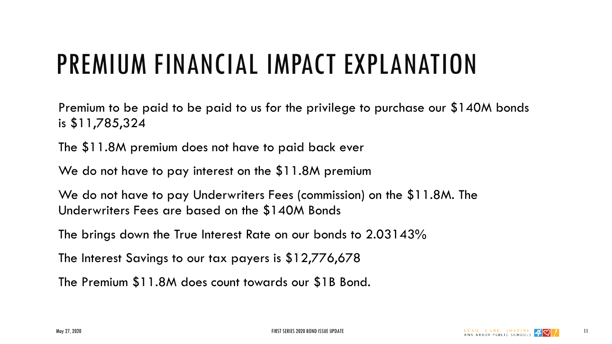# PREMIUM FINANCIAL IMPACT EXPLANATION

Premium to be paid to be paid to us for the privilege to purchase our \$140M bonds is \$11,785,324

The \$11.8M premium does not have to paid back ever

We do not have to pay interest on the \$11.8M premium

We do not have to pay Underwriters Fees (commission) on the \$11.8M. The Underwriters Fees are based on the \$140M Bonds

The brings down the True Interest Rate on our bonds to 2.03143%

The Interest Savings to our tax payers is \$12,776,678

The Premium \$11.8M does count towards our \$1B Bond.